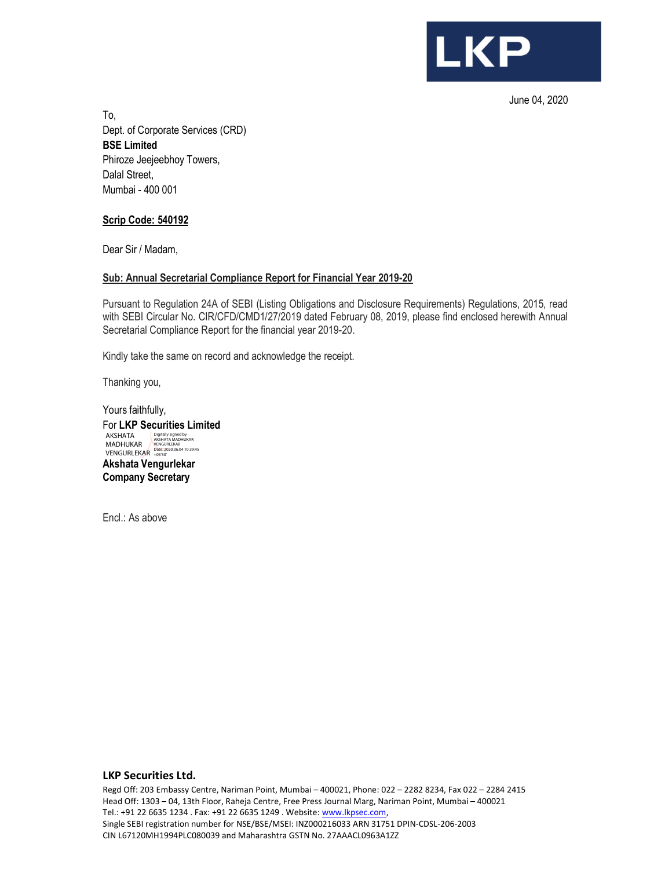

June 04, 2020

To, Dept. of Corporate Services (CRD) BSE Limited Phiroze Jeejeebhoy Towers, Dalal Street, Mumbai - 400 001

## Scrip Code: 540192

Dear Sir / Madam,

### Sub: Annual Secretarial Compliance Report for Financial Year 2019-20

Pursuant to Regulation 24A of SEBI (Listing Obligations and Disclosure Requirements) Regulations, 2015, read with SEBI Circular No. CIR/CFD/CMD1/27/2019 dated February 08, 2019, please find enclosed herewith Annual Secretarial Compliance Report for the financial year 2019-20.

Kindly take the same on record and acknowledge the receipt.

Thanking you,

Yours faithfully, For LKP Securities Limited Akshata Vengurlekar Company Secretary AKSHATA<br>MADHUKAR<br>VENGURLEKAR Digitally signed by AKSHATA MADHUKAR VENGURLEKAR Date: 2020.06.04 10:39:45 +05'30'

Encl.: As above

#### LKP Securities Ltd.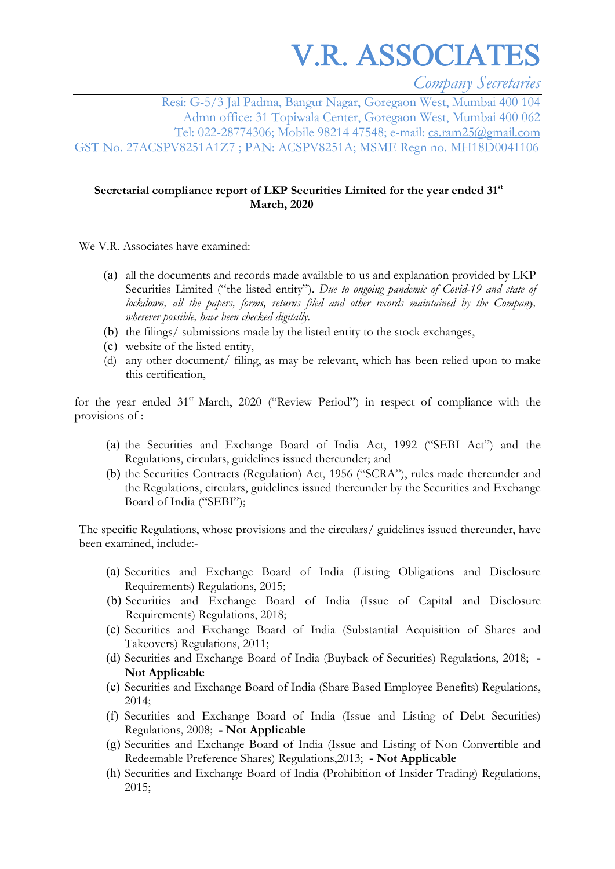V.R. ASSOCIATES

*Company Secretaries* 

Resi: G-5/3 Jal Padma, Bangur Nagar, Goregaon West, Mumbai 400 104 Admn office: 31 Topiwala Center, Goregaon West, Mumbai 400 062 Tel: 022-28774306; Mobile 98214 47548; e-mail: cs.ram25@gmail.com GST No. 27ACSPV8251A1Z7 ; PAN: ACSPV8251A; MSME Regn no. MH18D0041106

# **Secretarial compliance report of LKP Securities Limited for the year ended 31st March, 2020**

We V.R. Associates have examined:

- (a) all the documents and records made available to us and explanation provided by LKP Securities Limited ("the listed entity"). *Due to ongoing pandemic of Covid-19 and state of lockdown, all the papers, forms, returns filed and other records maintained by the Company, wherever possible, have been checked digitally.*
- (b) the filings/ submissions made by the listed entity to the stock exchanges,
- (c) website of the listed entity,
- (d) any other document/ filing, as may be relevant, which has been relied upon to make this certification,

for the year ended 31<sup>st</sup> March, 2020 ("Review Period") in respect of compliance with the provisions of :

- (a) the Securities and Exchange Board of India Act, 1992 ("SEBI Act") and the Regulations, circulars, guidelines issued thereunder; and
- (b) the Securities Contracts (Regulation) Act, 1956 ("SCRA"), rules made thereunder and the Regulations, circulars, guidelines issued thereunder by the Securities and Exchange Board of India ("SEBI");

The specific Regulations, whose provisions and the circulars/ guidelines issued thereunder, have been examined, include:-

- (a) Securities and Exchange Board of India (Listing Obligations and Disclosure Requirements) Regulations, 2015;
- (b) Securities and Exchange Board of India (Issue of Capital and Disclosure Requirements) Regulations, 2018;
- (c) Securities and Exchange Board of India (Substantial Acquisition of Shares and Takeovers) Regulations, 2011;
- (d) Securities and Exchange Board of India (Buyback of Securities) Regulations, 2018;  **Not Applicable**
- (e) Securities and Exchange Board of India (Share Based Employee Benefits) Regulations, 2014;
- (f) Securities and Exchange Board of India (Issue and Listing of Debt Securities) Regulations, 2008; **- Not Applicable**
- (g) Securities and Exchange Board of India (Issue and Listing of Non Convertible and Redeemable Preference Shares) Regulations,2013; **- Not Applicable**
- (h) Securities and Exchange Board of India (Prohibition of Insider Trading) Regulations, 2015;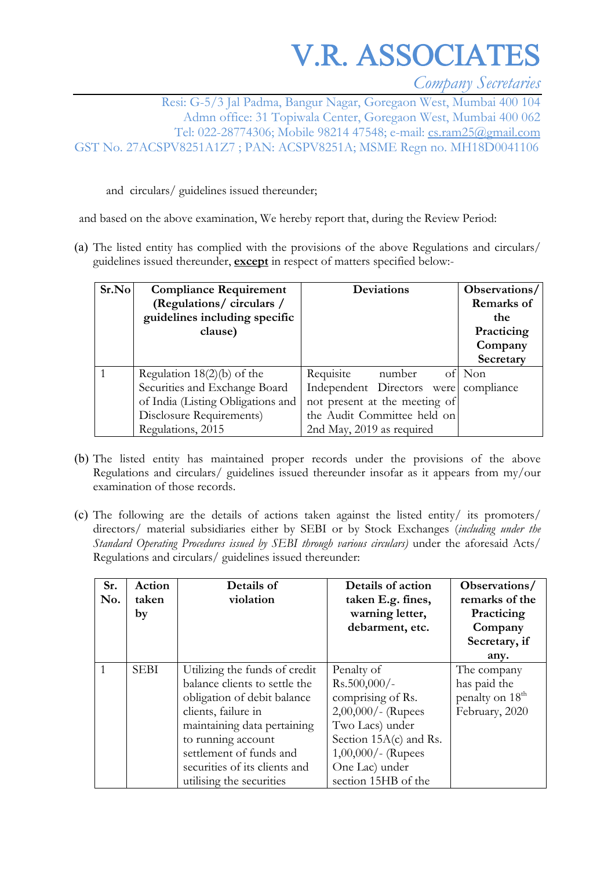V.R. ASSOCIATES

*Company Secretaries* 

Resi: G-5/3 Jal Padma, Bangur Nagar, Goregaon West, Mumbai 400 104 Admn office: 31 Topiwala Center, Goregaon West, Mumbai 400 062 Tel: 022-28774306; Mobile 98214 47548; e-mail: cs.ram25@gmail.com GST No. 27ACSPV8251A1Z7 ; PAN: ACSPV8251A; MSME Regn no. MH18D0041106

and circulars/ guidelines issued thereunder;

and based on the above examination, We hereby report that, during the Review Period:

(a) The listed entity has complied with the provisions of the above Regulations and circulars/ guidelines issued thereunder, **except** in respect of matters specified below:-

| Sr.No | <b>Compliance Requirement</b><br>(Regulations/circulars/<br>guidelines including specific<br>clause) | Deviations                            | Observations/<br>Remarks of<br>the<br>Practicing<br>Company<br>Secretary |
|-------|------------------------------------------------------------------------------------------------------|---------------------------------------|--------------------------------------------------------------------------|
|       | Regulation $18(2)(b)$ of the                                                                         | Requisite<br>number                   | of Non                                                                   |
|       | Securities and Exchange Board                                                                        | Independent Directors were compliance |                                                                          |
|       | of India (Listing Obligations and                                                                    | not present at the meeting of         |                                                                          |
|       | Disclosure Requirements)                                                                             | the Audit Committee held on           |                                                                          |
|       | Regulations, 2015                                                                                    | 2nd May, 2019 as required             |                                                                          |

- (b) The listed entity has maintained proper records under the provisions of the above Regulations and circulars/ guidelines issued thereunder insofar as it appears from my/our examination of those records.
- (c) The following are the details of actions taken against the listed entity/ its promoters/ directors/ material subsidiaries either by SEBI or by Stock Exchanges (*including under the Standard Operating Procedures issued by SEBI through various circulars)* under the aforesaid Acts/ Regulations and circulars/ guidelines issued thereunder:

| Sr.<br>No. | Action<br>taken<br>by | Details of<br>violation                                                                                                                                                                                                                                           | Details of action<br>taken E.g. fines,<br>warning letter,<br>debarment, etc.                                                                                                                | Observations/<br>remarks of the<br>Practicing<br>Company<br>Secretary, if<br>any. |
|------------|-----------------------|-------------------------------------------------------------------------------------------------------------------------------------------------------------------------------------------------------------------------------------------------------------------|---------------------------------------------------------------------------------------------------------------------------------------------------------------------------------------------|-----------------------------------------------------------------------------------|
|            | <b>SEBI</b>           | Utilizing the funds of credit<br>balance clients to settle the<br>obligation of debit balance<br>clients, failure in<br>maintaining data pertaining<br>to running account<br>settlement of funds and<br>securities of its clients and<br>utilising the securities | Penalty of<br>$Rs.500,000/-$<br>comprising of Rs.<br>$2,00,000/$ - (Rupees<br>Two Lacs) under<br>Section $15A(c)$ and Rs.<br>$1,00,000/$ - (Rupees<br>One Lac) under<br>section 15HB of the | The company<br>has paid the<br>penalty on 18 <sup>th</sup><br>February, 2020      |